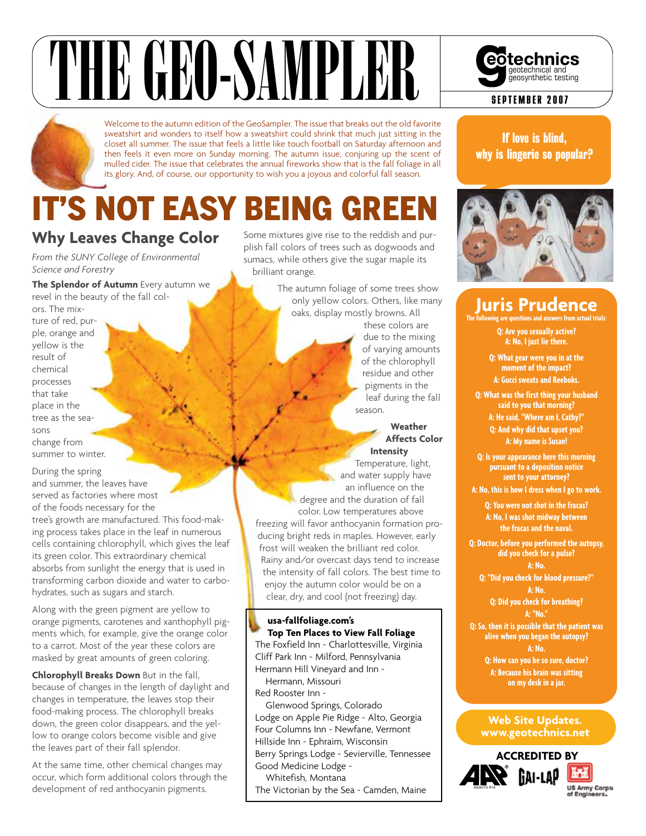# THE GEORGIAN SAMPLER SEPTEMBER 2007

Welcome to the autumn edition of the GeoSampler. The issue that breaks out the old favorite sweatshirt and wonders to itself how a sweatshirt could shrink that much just sitting in the closet all summer. The issue that feels a little like touch football on Saturday afternoon and then feels it even more on Sunday morning. The autumn issue, conjuring up the scent of mulled cider. The issue that celebrates the annual fireworks show that is the fall foliage in all its glory. And, of course, our opportunity to wish you a joyous and colorful fall season.

# **IT'S NOT EASY BEING GREE**

### **Why Leaves Change Color**

*From the SUNY College of Environmental Science and Forestry*

**The Splendor of Autumn** Every autumn we revel in the beauty of the fall col-

ors. The mixture of red, purple, orange and yellow is the result of chemical processes that take place in the tree as the seasons change from summer to winter.

During the spring and summer, the leaves have served as factories where most of the foods necessary for the tree's growth are manufactured. This food-making process takes place in the leaf in numerous cells containing chlorophyll, which gives the leaf its green color. This extraordinary chemical absorbs from sunlight the energy that is used in transforming carbon dioxide and water to carbohydrates, such as sugars and starch.

Along with the green pigment are yellow to orange pigments, carotenes and xanthophyll pigments which, for example, give the orange color to a carrot. Most of the year these colors are masked by great amounts of green coloring.

**Chlorophyll Breaks Down** But in the fall, because of changes in the length of daylight and changes in temperature, the leaves stop their food-making process. The chlorophyll breaks down, the green color disappears, and the yellow to orange colors become visible and give the leaves part of their fall splendor.

At the same time, other chemical changes may occur, which form additional colors through the development of red anthocyanin pigments.

Some mixtures give rise to the reddish and purplish fall colors of trees such as dogwoods and sumacs, while others give the sugar maple its brilliant orange.

> The autumn foliage of some trees show only yellow colors. Others, like many oaks, display mostly browns. All

these colors are due to the mixing of varying amounts of the chlorophyll residue and other pigments in the leaf during the fall season.

#### **Weather Affects Color**

**Intensity** Temperature, light, and water supply have an influence on the degree and the duration of fall color. Low temperatures above freezing will favor anthocyanin formation producing bright reds in maples. However, early frost will weaken the brilliant red color. Rainy and/or overcast days tend to increase the intensity of fall colors. The best time to enjoy the autumn color would be on a clear, dry, and cool (not freezing) day.

#### **usa-fallfoliage.com's Top Ten Places to View Fall Foliage**

The Foxfield Inn - Charlottesville, Virginia Cliff Park Inn - Milford, Pennsylvania Hermann Hill Vineyard and Inn -

Hermann, Missouri Red Rooster Inn -

Glenwood Springs, Colorado Lodge on Apple Pie Ridge - Alto, Georgia Four Columns Inn - Newfane, Vermont Hillside Inn - Ephraim, Wisconsin Berry Springs Lodge - Sevierville, Tennessee Good Medicine Lodge -

Whitefish, Montana The Victorian by the Sea - Camden, Maine



If love is blind, why is lingerie so popular?



## **Juris Prudence**

**The following are questions and answers from** 

**Q: Are you sexually active? A: No, I just lie there.**

**Q: What gear were you in at the moment of the impact? A: Gucci sweats and Reeboks.**

**Q: What was the first thing your husband said to you that morning? A: He said, "Where am I, Cathy?" Q: And why did that upset you? A: My name is Susan!**

**Q: Is your appearance here this morning pursuant to a deposition notice sent to your attorney?**

**A: No, this is how I dress when I go to work.**

**Q: You were not shot in the fracas? A: No, I was shot midway between the fracas and the naval.**

**Q: Doctor, before you performed the autopsy, did you check for a pulse?**

**A: No. Q: "Did you check for blood pressure?" A: No.**

**Q: Did you check for breathing? A: "No."**

**Q: So, then it is possible that the patient was alive when you began the autopsy? A: No. Q: How can you be so sure, doctor?**

**A: Because his brain was sitting on my desk in a jar.**

#### **Web Site Updates. www.geotechnics.net**